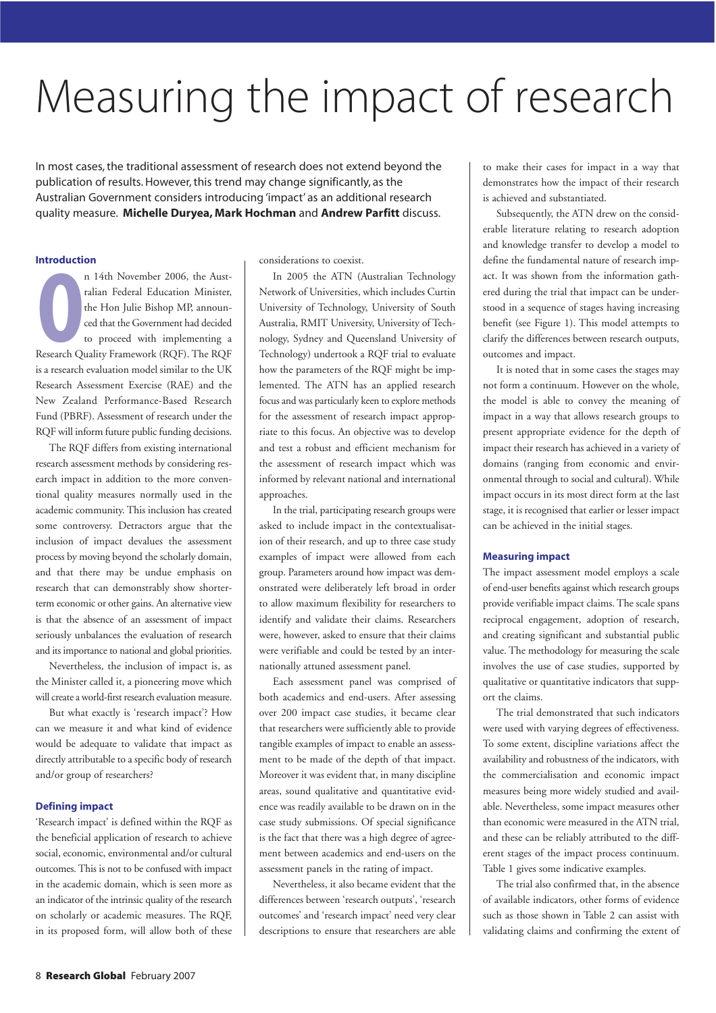# Measuring the impact of research

In most cases, the traditional assessment of research does not extend beyond the publication of results. However, this trend may change significantly, as the Australian Government considers introducing 'impact' as an additional research quality measure. Michelle Duryea, Mark Hochman and Andrew Parfitt discuss.

## Introduction

**Introductie** n 14th November 2006, the Australian Federal Education Minister, the Hon Julie Bishop MP, announced that the Government had decided to proceed with implementing a Research Quality Framework (RQF). The RQF is a research evaluation model similar to the UK Research Assessment Exercise (RAE) and the New Zealand Performance-Based Research Fund (PBRF). Assessment of research under the RQF will inform future public funding decisions.

The RQF differs from existing international research assessment methods by considering research impact in addition to the more conventional quality measures normally used in the academic community. This inclusion has created some controversy. Detractors argue that the inclusion of impact devalues the assessment process by moving beyond the scholarly domain, and that there may be undue emphasis on research that can demonstrably show shorterterm economic or other gains. An alternative view is that the absence of an assessment of impact seriously unbalances the evaluation of research and its importance to national and global priorities.

Nevertheless, the inclusion of impact is, as the Minister called it, a pioneering move which will create a world-first research evaluation measure.

But what exactly is 'research impact'? How can we measure it and what kind of evidence would be adequate to validate that impact as directly attributable to a specific body of research and/or group of researchers?

#### Defining impact

'Research impact' is defined within the RQF as the beneficial application of research to achieve social, economic, environmental and/or cultural outcomes. This is not to be confused with impact in the academic domain, which is seen more as an indicator of the intrinsic quality of the research on scholarly or academic measures. The RQF, in its proposed form, will allow both of these considerations to coexist.

In 2005 the ATN (Australian Technology Network of Universities, which includes Curtin University of Technology, University of South Australia, RMIT University, University of Technology, Sydney and Queensland University of Technology) undertook a RQF trial to evaluate how the parameters of the RQF might be implemented. The ATN has an applied research focus and was particularly keen to explore methods for the assessment of research impact appropriate to this focus. An objective was to develop and test a robust and efficient mechanism for the assessment of research impact which was informed by relevant national and international approaches.

In the trial, participating research groups were asked to include impact in the contextualisation of their research, and up to three case study examples of impact were allowed from each group. Parameters around how impact was demonstrated were deliberately left broad in order to allow maximum flexibility for researchers to identify and validate their claims. Researchers were, however, asked to ensure that their claims were verifiable and could be tested by an internationally attuned assessment panel.

Each assessment panel was comprised of both academics and end-users. After assessing over 200 impact case studies, it became clear that researchers were sufficiently able to provide tangible examples of impact to enable an assessment to be made of the depth of that impact. Moreover it was evident that, in many discipline areas, sound qualitative and quantitative evidence was readily available to be drawn on in the case study submissions. Of special significance is the fact that there was a high degree of agreement between academics and end-users on the assessment panels in the rating of impact.

Nevertheless, it also became evident that the differences between 'research outputs', 'research outcomes' and 'research impact' need very clear descriptions to ensure that researchers are able to make their cases for impact in a way that demonstrates how the impact of their research is achieved and substantiated.

Subsequently, the ATN drew on the considerable literature relating to research adoption and knowledge transfer to develop a model to define the fundamental nature of research impact. It was shown from the information gathered during the trial that impact can be understood in a sequence of stages having increasing benefit (see Figure 1). This model attempts to clarify the differences between research outputs, outcomes and impact.

It is noted that in some cases the stages may not form a continuum. However on the whole, the model is able to convey the meaning of impact in a way that allows research groups to present appropriate evidence for the depth of impact their research has achieved in a variety of domains (ranging from economic and environmental through to social and cultural). While impact occurs in its most direct form at the last stage, it is recognised that earlier or lesser impact can be achieved in the initial stages.

#### Measuring impact

The impact assessment model employs a scale of end-user benefits against which research groups provide verifiable impact claims. The scale spans reciprocal engagement, adoption of research, and creating significant and substantial public value. The methodology for measuring the scale involves the use of case studies, supported by qualitative or quantitative indicators that support the claims.

The trial demonstrated that such indicators were used with varying degrees of effectiveness. To some extent, discipline variations affect the availability and robustness of the indicators, with the commercialisation and economic impact measures being more widely studied and available. Nevertheless, some impact measures other than economic were measured in the ATN trial, and these can be reliably attributed to the different stages of the impact process continuum. Table 1 gives some indicative examples.

The trial also confirmed that, in the absence of available indicators, other forms of evidence such as those shown in Table 2 can assist with validating claims and confirming the extent of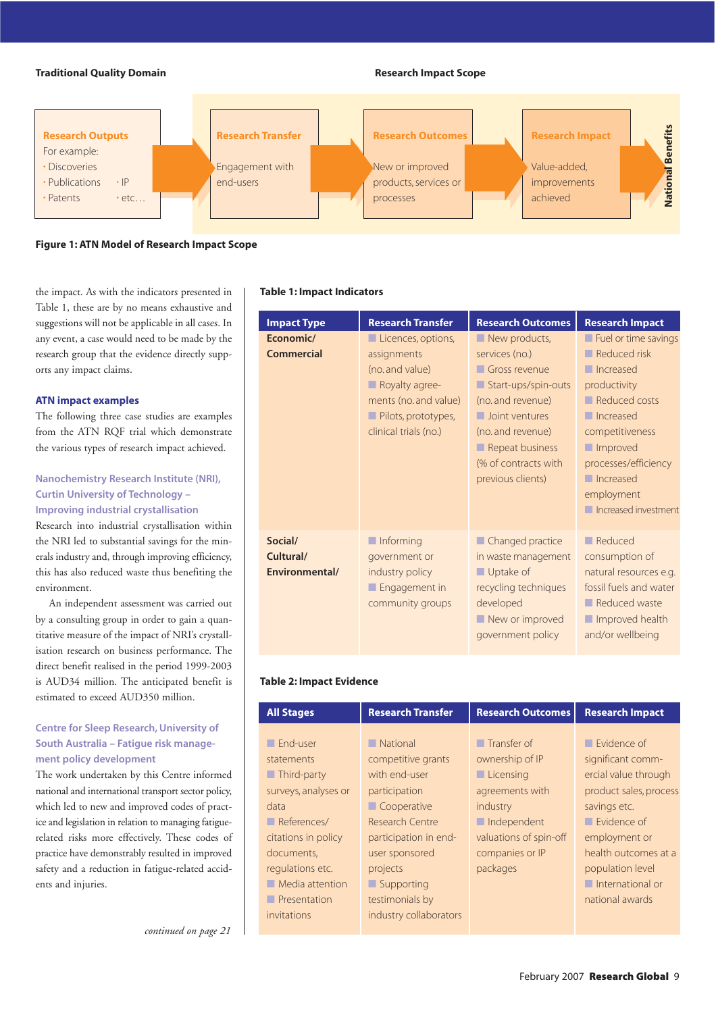# **Traditional Quality Domain Scope 2018 12:38 Research Impact Scope**



Figure 1: ATN Model of Research Impact Scope

the impact. As with the indicators presented in Table 1, these are by no means exhaustive and suggestions will not be applicable in all cases. In any event, a case would need to be made by the research group that the evidence directly supports any impact claims.

## ATN impact examples

The following three case studies are examples from the ATN RQF trial which demonstrate the various types of research impact achieved.

# Nanochemistry Research Institute (NRI), Curtin University of Technology – Improving industrial crystallisation

Research into industrial crystallisation within the NRI led to substantial savings for the minerals industry and, through improving efficiency, this has also reduced waste thus benefiting the environment.

An independent assessment was carried out by a consulting group in order to gain a quantitative measure of the impact of NRI's crystallisation research on business performance. The direct benefit realised in the period 1999-2003 is AUD34 million. The anticipated benefit is estimated to exceed AUD350 million.

# Centre for Sleep Research, University of South Australia – Fatigue risk management policy development

The work undertaken by this Centre informed national and international transport sector policy, which led to new and improved codes of practice and legislation in relation to managing fatiguerelated risks more effectively. These codes of practice have demonstrably resulted in improved safety and a reduction in fatigue-related accidents and injuries.

#### Table 1: Impact Indicators

| <b>Impact Type</b>                     | <b>Research Transfer</b>                                                                                                                                       | <b>Research Outcomes</b>                                                                                                                                                                                                                         | <b>Research Impact</b>                                                                                                                                                                                                                                                               |
|----------------------------------------|----------------------------------------------------------------------------------------------------------------------------------------------------------------|--------------------------------------------------------------------------------------------------------------------------------------------------------------------------------------------------------------------------------------------------|--------------------------------------------------------------------------------------------------------------------------------------------------------------------------------------------------------------------------------------------------------------------------------------|
| Economic/<br><b>Commercial</b>         | Licences, options,<br>assignments<br>(no. and value)<br>$\blacksquare$ Royalty agree-<br>ments (no. and value)<br>Pilots, prototypes,<br>clinical trials (no.) | New products,<br>services (no.)<br>Gross revenue<br>$\blacksquare$ Start-ups/spin-outs<br>(no. and revenue)<br>$\blacksquare$ Joint ventures<br>(no. and revenue)<br>$\blacksquare$ Repeat business<br>(% of contracts with<br>previous clients) | $\blacksquare$ Fuel or time savings<br>$\blacksquare$ Reduced risk<br>$\blacksquare$ Increased<br>productivity<br>Reduced costs<br>$\blacksquare$ Increased<br>competitiveness<br>Improved<br>processes/efficiency<br>$\blacksquare$ Increased<br>employment<br>Increased investment |
| Social/<br>Cultural/<br>Environmental/ | $\blacksquare$ Informing<br>government or<br>industry policy<br>$\blacksquare$ Engagement in<br>community groups                                               | $\blacksquare$ Changed practice<br>in waste management<br>$\blacksquare$ Uptake of<br>recycling techniques<br>developed<br>New or improved<br>government policy                                                                                  | $\blacksquare$ Reduced<br>consumption of<br>natural resources e.g.<br>fossil fuels and water<br>Reduced waste<br>Improved health<br>and/or wellbeing                                                                                                                                 |

# Table 2: Impact Evidence